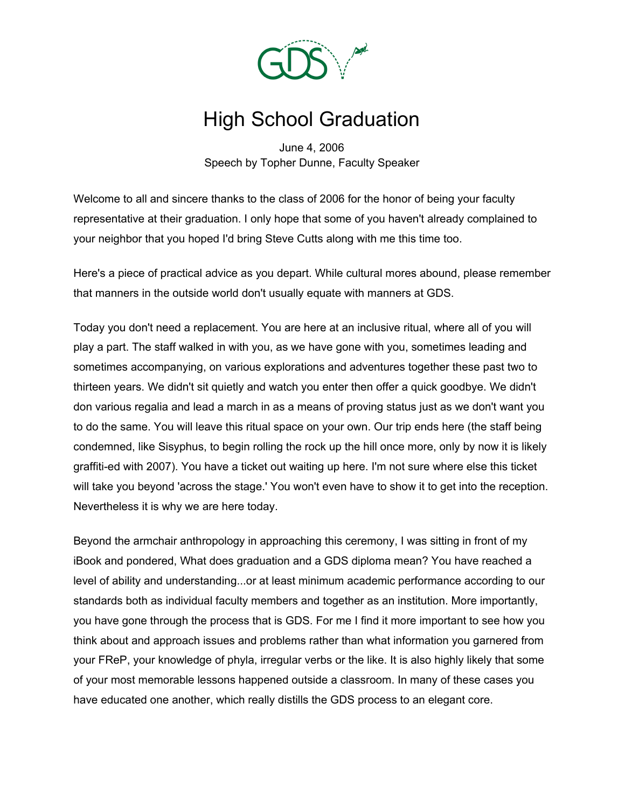

## High School Graduation

June 4, 2006 Speech by Topher Dunne, Faculty Speaker

Welcome to all and sincere thanks to the class of 2006 for the honor of being your faculty representative at their graduation. I only hope that some of you haven't already complained to your neighbor that you hoped I'd bring Steve Cutts along with me this time too.

Here's a piece of practical advice as you depart. While cultural mores abound, please remember that manners in the outside world don't usually equate with manners at GDS.

Today you don't need a replacement. You are here at an inclusive ritual, where all of you will play a part. The staff walked in with you, as we have gone with you, sometimes leading and sometimes accompanying, on various explorations and adventures together these past two to thirteen years. We didn't sit quietly and watch you enter then offer a quick goodbye. We didn't don various regalia and lead a march in as a means of proving status just as we don't want you to do the same. You will leave this ritual space on your own. Our trip ends here (the staff being condemned, like Sisyphus, to begin rolling the rock up the hill once more, only by now it is likely graffiti-ed with 2007). You have a ticket out waiting up here. I'm not sure where else this ticket will take you beyond 'across the stage.' You won't even have to show it to get into the reception. Nevertheless it is why we are here today.

Beyond the armchair anthropology in approaching this ceremony, I was sitting in front of my iBook and pondered, What does graduation and a GDS diploma mean? You have reached a level of ability and understanding...or at least minimum academic performance according to our standards both as individual faculty members and together as an institution. More importantly, you have gone through the process that is GDS. For me I find it more important to see how you think about and approach issues and problems rather than what information you garnered from your FReP, your knowledge of phyla, irregular verbs or the like. It is also highly likely that some of your most memorable lessons happened outside a classroom. In many of these cases you have educated one another, which really distills the GDS process to an elegant core.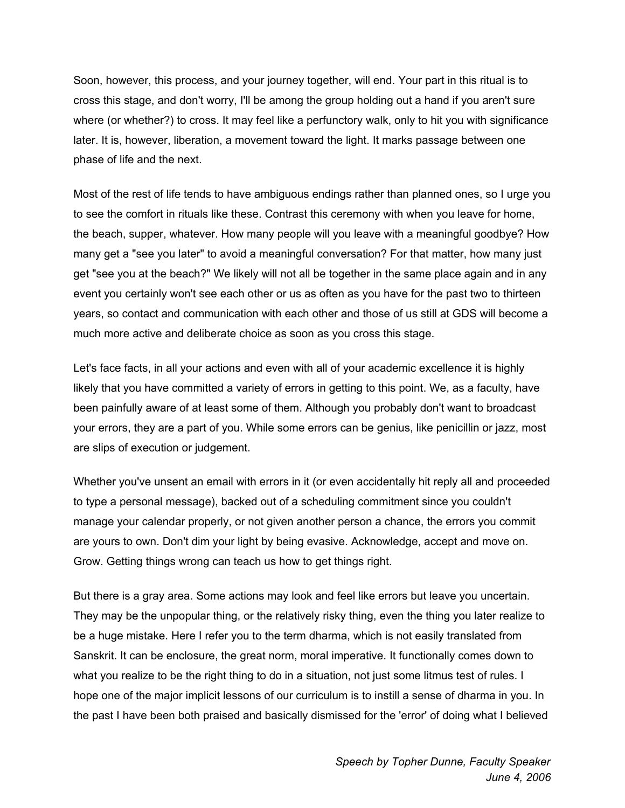Soon, however, this process, and your journey together, will end. Your part in this ritual is to cross this stage, and don't worry, I'll be among the group holding out a hand if you aren't sure where (or whether?) to cross. It may feel like a perfunctory walk, only to hit you with significance later. It is, however, liberation, a movement toward the light. It marks passage between one phase of life and the next.

Most of the rest of life tends to have ambiguous endings rather than planned ones, so I urge you to see the comfort in rituals like these. Contrast this ceremony with when you leave for home, the beach, supper, whatever. How many people will you leave with a meaningful goodbye? How many get a "see you later" to avoid a meaningful conversation? For that matter, how many just get "see you at the beach?" We likely will not all be together in the same place again and in any event you certainly won't see each other or us as often as you have for the past two to thirteen years, so contact and communication with each other and those of us still at GDS will become a much more active and deliberate choice as soon as you cross this stage.

Let's face facts, in all your actions and even with all of your academic excellence it is highly likely that you have committed a variety of errors in getting to this point. We, as a faculty, have been painfully aware of at least some of them. Although you probably don't want to broadcast your errors, they are a part of you. While some errors can be genius, like penicillin or jazz, most are slips of execution or judgement.

Whether you've unsent an email with errors in it (or even accidentally hit reply all and proceeded to type a personal message), backed out of a scheduling commitment since you couldn't manage your calendar properly, or not given another person a chance, the errors you commit are yours to own. Don't dim your light by being evasive. Acknowledge, accept and move on. Grow. Getting things wrong can teach us how to get things right.

But there is a gray area. Some actions may look and feel like errors but leave you uncertain. They may be the unpopular thing, or the relatively risky thing, even the thing you later realize to be a huge mistake. Here I refer you to the term dharma, which is not easily translated from Sanskrit. It can be enclosure, the great norm, moral imperative. It functionally comes down to what you realize to be the right thing to do in a situation, not just some litmus test of rules. I hope one of the major implicit lessons of our curriculum is to instill a sense of dharma in you. In the past I have been both praised and basically dismissed for the 'error' of doing what I believed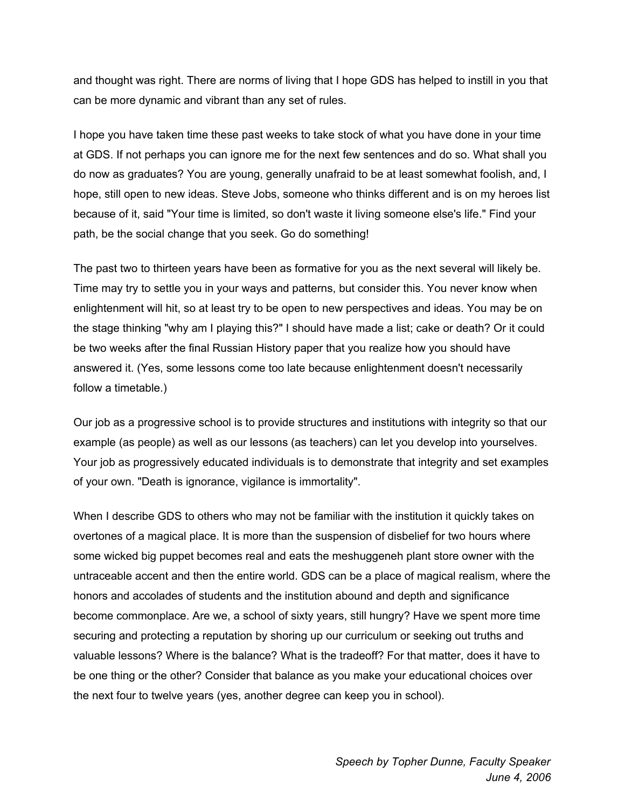and thought was right. There are norms of living that I hope GDS has helped to instill in you that can be more dynamic and vibrant than any set of rules.

I hope you have taken time these past weeks to take stock of what you have done in your time at GDS. If not perhaps you can ignore me for the next few sentences and do so. What shall you do now as graduates? You are young, generally unafraid to be at least somewhat foolish, and, I hope, still open to new ideas. Steve Jobs, someone who thinks different and is on my heroes list because of it, said "Your time is limited, so don't waste it living someone else's life." Find your path, be the social change that you seek. Go do something!

The past two to thirteen years have been as formative for you as the next several will likely be. Time may try to settle you in your ways and patterns, but consider this. You never know when enlightenment will hit, so at least try to be open to new perspectives and ideas. You may be on the stage thinking "why am I playing this?" I should have made a list; cake or death? Or it could be two weeks after the final Russian History paper that you realize how you should have answered it. (Yes, some lessons come too late because enlightenment doesn't necessarily follow a timetable.)

Our job as a progressive school is to provide structures and institutions with integrity so that our example (as people) as well as our lessons (as teachers) can let you develop into yourselves. Your job as progressively educated individuals is to demonstrate that integrity and set examples of your own. "Death is ignorance, vigilance is immortality".

When I describe GDS to others who may not be familiar with the institution it quickly takes on overtones of a magical place. It is more than the suspension of disbelief for two hours where some wicked big puppet becomes real and eats the meshuggeneh plant store owner with the untraceable accent and then the entire world. GDS can be a place of magical realism, where the honors and accolades of students and the institution abound and depth and significance become commonplace. Are we, a school of sixty years, still hungry? Have we spent more time securing and protecting a reputation by shoring up our curriculum or seeking out truths and valuable lessons? Where is the balance? What is the tradeoff? For that matter, does it have to be one thing or the other? Consider that balance as you make your educational choices over the next four to twelve years (yes, another degree can keep you in school).